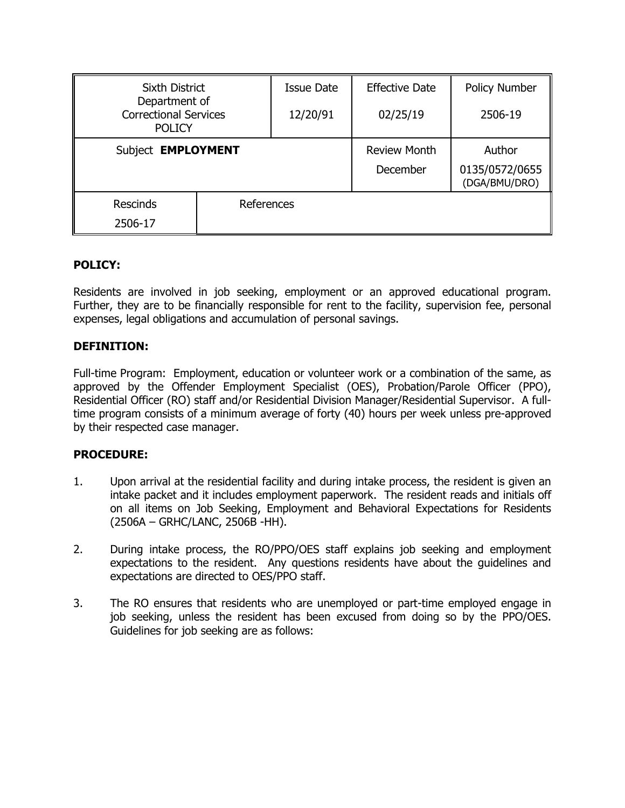| <b>Sixth District</b>                                          |            | Issue Date | <b>Effective Date</b> | <b>Policy Number</b>            |
|----------------------------------------------------------------|------------|------------|-----------------------|---------------------------------|
| Department of<br><b>Correctional Services</b><br><b>POLICY</b> |            | 12/20/91   | 02/25/19              | 2506-19                         |
| Subject <b>EMPLOYMENT</b>                                      |            |            | <b>Review Month</b>   | Author                          |
|                                                                |            |            | December              | 0135/0572/0655<br>(DGA/BMU/DRO) |
| <b>Rescinds</b>                                                | References |            |                       |                                 |
| 2506-17                                                        |            |            |                       |                                 |

# **POLICY:**

Residents are involved in job seeking, employment or an approved educational program. Further, they are to be financially responsible for rent to the facility, supervision fee, personal expenses, legal obligations and accumulation of personal savings.

# **DEFINITION:**

Full-time Program: Employment, education or volunteer work or a combination of the same, as approved by the Offender Employment Specialist (OES), Probation/Parole Officer (PPO), Residential Officer (RO) staff and/or Residential Division Manager/Residential Supervisor. A fulltime program consists of a minimum average of forty (40) hours per week unless pre-approved by their respected case manager.

## **PROCEDURE:**

- 1. Upon arrival at the residential facility and during intake process, the resident is given an intake packet and it includes employment paperwork. The resident reads and initials off on all items on Job Seeking, Employment and Behavioral Expectations for Residents (2506A – GRHC/LANC, 2506B -HH).
- 2. During intake process, the RO/PPO/OES staff explains job seeking and employment expectations to the resident. Any questions residents have about the guidelines and expectations are directed to OES/PPO staff.
- 3. The RO ensures that residents who are unemployed or part-time employed engage in job seeking, unless the resident has been excused from doing so by the PPO/OES. Guidelines for job seeking are as follows: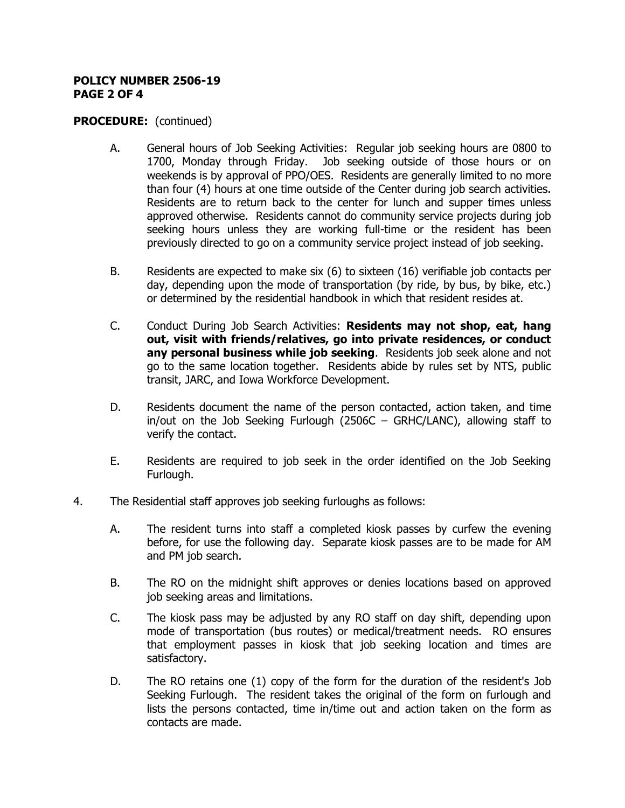#### **POLICY NUMBER 2506-19 PAGE 2 OF 4**

## **PROCEDURE:** (continued)

- A. General hours of Job Seeking Activities: Regular job seeking hours are 0800 to 1700, Monday through Friday. Job seeking outside of those hours or on weekends is by approval of PPO/OES. Residents are generally limited to no more than four (4) hours at one time outside of the Center during job search activities. Residents are to return back to the center for lunch and supper times unless approved otherwise. Residents cannot do community service projects during job seeking hours unless they are working full-time or the resident has been previously directed to go on a community service project instead of job seeking.
- B. Residents are expected to make six (6) to sixteen (16) verifiable job contacts per day, depending upon the mode of transportation (by ride, by bus, by bike, etc.) or determined by the residential handbook in which that resident resides at.
- C. Conduct During Job Search Activities: **Residents may not shop, eat, hang out, visit with friends/relatives, go into private residences, or conduct any personal business while job seeking**. Residents job seek alone and not go to the same location together. Residents abide by rules set by NTS, public transit, JARC, and Iowa Workforce Development.
- D. Residents document the name of the person contacted, action taken, and time in/out on the Job Seeking Furlough (2506C – GRHC/LANC), allowing staff to verify the contact.
- E. Residents are required to job seek in the order identified on the Job Seeking Furlough.
- 4. The Residential staff approves job seeking furloughs as follows:
	- A. The resident turns into staff a completed kiosk passes by curfew the evening before, for use the following day. Separate kiosk passes are to be made for AM and PM job search.
	- B. The RO on the midnight shift approves or denies locations based on approved job seeking areas and limitations.
	- C. The kiosk pass may be adjusted by any RO staff on day shift, depending upon mode of transportation (bus routes) or medical/treatment needs. RO ensures that employment passes in kiosk that job seeking location and times are satisfactory.
	- D. The RO retains one (1) copy of the form for the duration of the resident's Job Seeking Furlough. The resident takes the original of the form on furlough and lists the persons contacted, time in/time out and action taken on the form as contacts are made.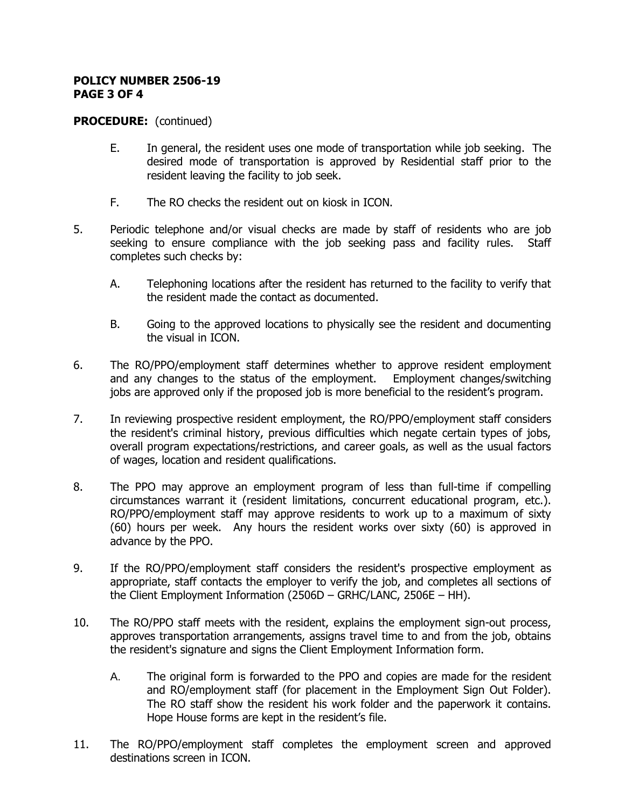#### **POLICY NUMBER 2506-19 PAGE 3 OF 4**

## **PROCEDURE:** (continued)

- E. In general, the resident uses one mode of transportation while job seeking. The desired mode of transportation is approved by Residential staff prior to the resident leaving the facility to job seek.
- F. The RO checks the resident out on kiosk in ICON.
- 5. Periodic telephone and/or visual checks are made by staff of residents who are job seeking to ensure compliance with the job seeking pass and facility rules. Staff completes such checks by:
	- A. Telephoning locations after the resident has returned to the facility to verify that the resident made the contact as documented.
	- B. Going to the approved locations to physically see the resident and documenting the visual in ICON.
- 6. The RO/PPO/employment staff determines whether to approve resident employment and any changes to the status of the employment. Employment changes/switching jobs are approved only if the proposed job is more beneficial to the resident's program.
- 7. In reviewing prospective resident employment, the RO/PPO/employment staff considers the resident's criminal history, previous difficulties which negate certain types of jobs, overall program expectations/restrictions, and career goals, as well as the usual factors of wages, location and resident qualifications.
- 8. The PPO may approve an employment program of less than full-time if compelling circumstances warrant it (resident limitations, concurrent educational program, etc.). RO/PPO/employment staff may approve residents to work up to a maximum of sixty (60) hours per week. Any hours the resident works over sixty (60) is approved in advance by the PPO.
- 9. If the RO/PPO/employment staff considers the resident's prospective employment as appropriate, staff contacts the employer to verify the job, and completes all sections of the Client Employment Information (2506D – GRHC/LANC, 2506E – HH).
- 10. The RO/PPO staff meets with the resident, explains the employment sign-out process, approves transportation arrangements, assigns travel time to and from the job, obtains the resident's signature and signs the Client Employment Information form.
	- A. The original form is forwarded to the PPO and copies are made for the resident and RO/employment staff (for placement in the Employment Sign Out Folder). The RO staff show the resident his work folder and the paperwork it contains. Hope House forms are kept in the resident's file.
- 11. The RO/PPO/employment staff completes the employment screen and approved destinations screen in ICON.